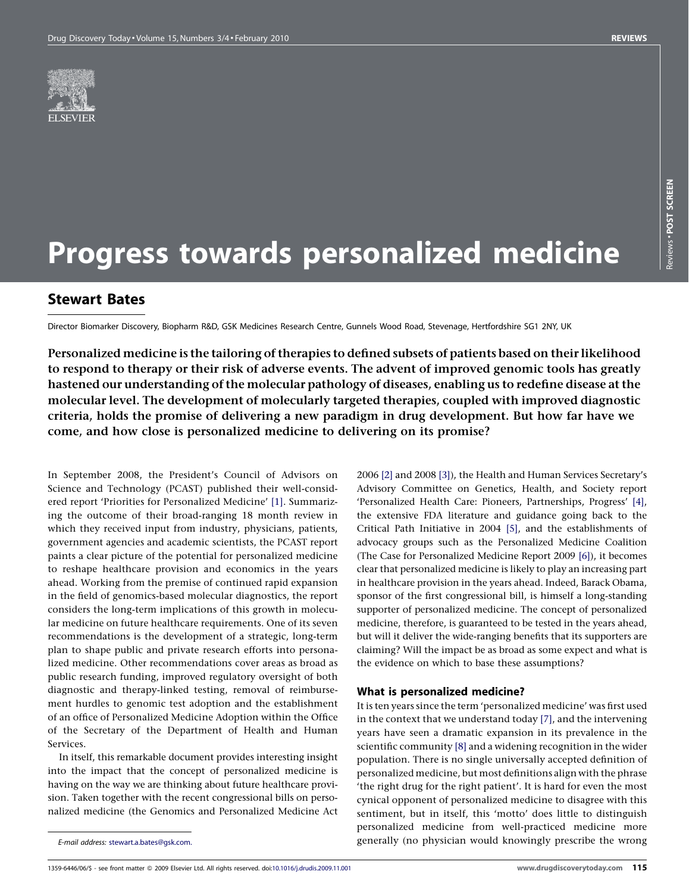

# Progress towards personalized medicine

# Stewart Bates

Director Biomarker Discovery, Biopharm R&D, GSK Medicines Research Centre, Gunnels Wood Road, Stevenage, Hertfordshire SG1 2NY, UK

Personalized medicine is the tailoring of therapies to defined subsets of patients based on their likelihood to respond to therapy or their risk of adverse events. The advent of improved genomic tools has greatly hastened our understanding of the molecular pathology of diseases, enabling us to redefine disease at the molecular level. The development of molecularly targeted therapies, coupled with improved diagnostic criteria, holds the promise of delivering a new paradigm in drug development. But how far have we come, and how close is personalized medicine to delivering on its promise?

In September 2008, the President's Council of Advisors on Science and Technology (PCAST) published their well-considered report 'Priorities for Personalized Medicine' [\[1\].](#page-4-0) Summarizing the outcome of their broad-ranging 18 month review in which they received input from industry, physicians, patients, government agencies and academic scientists, the PCAST report paints a clear picture of the potential for personalized medicine to reshape healthcare provision and economics in the years ahead. Working from the premise of continued rapid expansion in the field of genomics-based molecular diagnostics, the report considers the long-term implications of this growth in molecular medicine on future healthcare requirements. One of its seven recommendations is the development of a strategic, long-term plan to shape public and private research efforts into personalized medicine. Other recommendations cover areas as broad as public research funding, improved regulatory oversight of both diagnostic and therapy-linked testing, removal of reimbursement hurdles to genomic test adoption and the establishment of an office of Personalized Medicine Adoption within the Office of the Secretary of the Department of Health and Human Services.

In itself, this remarkable document provides interesting insight into the impact that the concept of personalized medicine is having on the way we are thinking about future healthcare provision. Taken together with the recent congressional bills on personalized medicine (the Genomics and Personalized Medicine Act 2006 [\[2\]](#page-4-0) and 2008 [\[3\]\)](#page-4-0), the Health and Human Services Secretary's Advisory Committee on Genetics, Health, and Society report 'Personalized Health Care: Pioneers, Partnerships, Progress' [\[4\],](#page-4-0) the extensive FDA literature and guidance going back to the Critical Path Initiative in 2004 [\[5\],](#page-4-0) and the establishments of advocacy groups such as the Personalized Medicine Coalition (The Case for Personalized Medicine Report 2009 [\[6\]\)](#page-4-0), it becomes clear that personalized medicine is likely to play an increasing part in healthcare provision in the years ahead. Indeed, Barack Obama, sponsor of the first congressional bill, is himself a long-standing supporter of personalized medicine. The concept of personalized medicine, therefore, is guaranteed to be tested in the years ahead, but will it deliver the wide-ranging benefits that its supporters are claiming? Will the impact be as broad as some expect and what is the evidence on which to base these assumptions?

#### What is personalized medicine?

It is ten years since the term 'personalized medicine' was first used in the context that we understand today [\[7\]](#page-4-0), and the intervening years have seen a dramatic expansion in its prevalence in the scientific community [\[8\]](#page-4-0) and a widening recognition in the wider population. There is no single universally accepted definition of personalized medicine, but most definitions align with the phrase 'the right drug for the right patient'. It is hard for even the most cynical opponent of personalized medicine to disagree with this sentiment, but in itself, this 'motto' does little to distinguish personalized medicine from well-practiced medicine more generally (no physician would knowingly prescribe the wrong

E-mail address: [stewart.a.bates@gsk.com.](mailto:stewart.a.bates@gsk.com)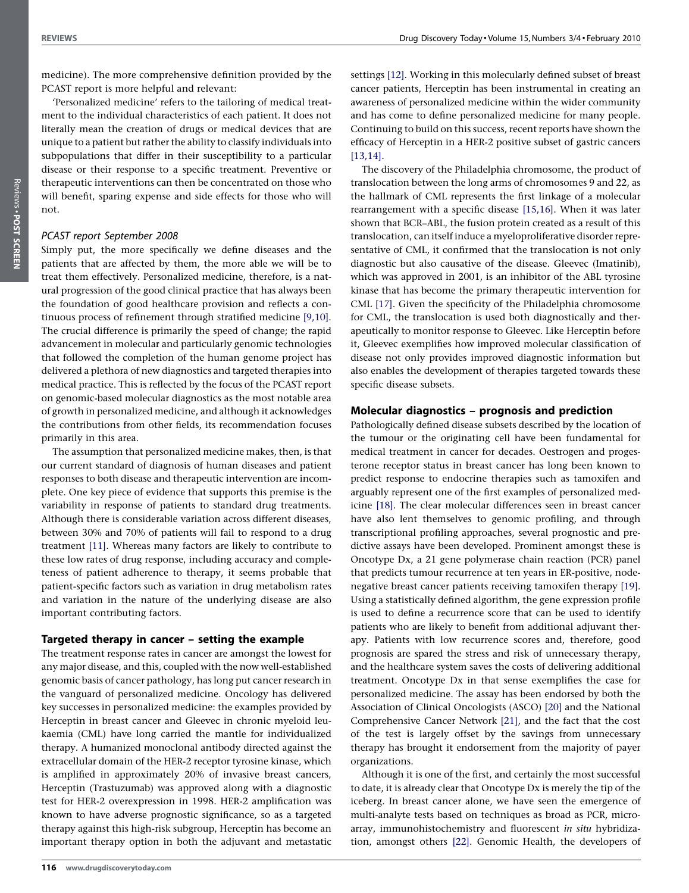medicine). The more comprehensive definition provided by the PCAST report is more helpful and relevant:

'Personalized medicine' refers to the tailoring of medical treatment to the individual characteristics of each patient. It does not literally mean the creation of drugs or medical devices that are unique to a patient but rather the ability to classify individuals into subpopulations that differ in their susceptibility to a particular disease or their response to a specific treatment. Preventive or therapeutic interventions can then be concentrated on those who will benefit, sparing expense and side effects for those who will not.

#### PCAST report September 2008

Simply put, the more specifically we define diseases and the patients that are affected by them, the more able we will be to treat them effectively. Personalized medicine, therefore, is a natural progression of the good clinical practice that has always been the foundation of good healthcare provision and reflects a continuous process of refinement through stratified medicine [\[9,10\]](#page-4-0). The crucial difference is primarily the speed of change; the rapid advancement in molecular and particularly genomic technologies that followed the completion of the human genome project has delivered a plethora of new diagnostics and targeted therapies into medical practice. This is reflected by the focus of the PCAST report on genomic-based molecular diagnostics as the most notable area of growth in personalized medicine, and although it acknowledges the contributions from other fields, its recommendation focuses primarily in this area.

The assumption that personalized medicine makes, then, is that our current standard of diagnosis of human diseases and patient responses to both disease and therapeutic intervention are incomplete. One key piece of evidence that supports this premise is the variability in response of patients to standard drug treatments. Although there is considerable variation across different diseases, between 30% and 70% of patients will fail to respond to a drug treatment [\[11\]](#page-4-0). Whereas many factors are likely to contribute to these low rates of drug response, including accuracy and completeness of patient adherence to therapy, it seems probable that patient-specific factors such as variation in drug metabolism rates and variation in the nature of the underlying disease are also important contributing factors.

# Targeted therapy in cancer – setting the example

The treatment response rates in cancer are amongst the lowest for any major disease, and this, coupled with the now well-established genomic basis of cancer pathology, has long put cancer research in the vanguard of personalized medicine. Oncology has delivered key successes in personalized medicine: the examples provided by Herceptin in breast cancer and Gleevec in chronic myeloid leukaemia (CML) have long carried the mantle for individualized therapy. A humanized monoclonal antibody directed against the extracellular domain of the HER-2 receptor tyrosine kinase, which is amplified in approximately 20% of invasive breast cancers, Herceptin (Trastuzumab) was approved along with a diagnostic test for HER-2 overexpression in 1998. HER-2 amplification was known to have adverse prognostic significance, so as a targeted therapy against this high-risk subgroup, Herceptin has become an important therapy option in both the adjuvant and metastatic

settings [\[12\].](#page-4-0) Working in this molecularly defined subset of breast cancer patients, Herceptin has been instrumental in creating an awareness of personalized medicine within the wider community and has come to define personalized medicine for many people. Continuing to build on this success, recent reports have shown the efficacy of Herceptin in a HER-2 positive subset of gastric cancers [\[13,14\]](#page-4-0).

The discovery of the Philadelphia chromosome, the product of translocation between the long arms of chromosomes 9 and 22, as the hallmark of CML represents the first linkage of a molecular rearrangement with a specific disease [\[15,16\]](#page-4-0). When it was later shown that BCR–ABL, the fusion protein created as a result of this translocation, can itself induce a myeloproliferative disorder representative of CML, it confirmed that the translocation is not only diagnostic but also causative of the disease. Gleevec (Imatinib), which was approved in 2001, is an inhibitor of the ABL tyrosine kinase that has become the primary therapeutic intervention for CML [\[17\]](#page-4-0). Given the specificity of the Philadelphia chromosome for CML, the translocation is used both diagnostically and therapeutically to monitor response to Gleevec. Like Herceptin before it, Gleevec exemplifies how improved molecular classification of disease not only provides improved diagnostic information but also enables the development of therapies targeted towards these specific disease subsets.

# Molecular diagnostics – prognosis and prediction

Pathologically defined disease subsets described by the location of the tumour or the originating cell have been fundamental for medical treatment in cancer for decades. Oestrogen and progesterone receptor status in breast cancer has long been known to predict response to endocrine therapies such as tamoxifen and arguably represent one of the first examples of personalized medicine [\[18\].](#page-4-0) The clear molecular differences seen in breast cancer have also lent themselves to genomic profiling, and through transcriptional profiling approaches, several prognostic and predictive assays have been developed. Prominent amongst these is Oncotype Dx, a 21 gene polymerase chain reaction (PCR) panel that predicts tumour recurrence at ten years in ER-positive, nodenegative breast cancer patients receiving tamoxifen therapy [\[19\]](#page-4-0). Using a statistically defined algorithm, the gene expression profile is used to define a recurrence score that can be used to identify patients who are likely to benefit from additional adjuvant therapy. Patients with low recurrence scores and, therefore, good prognosis are spared the stress and risk of unnecessary therapy, and the healthcare system saves the costs of delivering additional treatment. Oncotype Dx in that sense exemplifies the case for personalized medicine. The assay has been endorsed by both the Association of Clinical Oncologists (ASCO) [\[20\]](#page-4-0) and the National Comprehensive Cancer Network [\[21\],](#page-4-0) and the fact that the cost of the test is largely offset by the savings from unnecessary therapy has brought it endorsement from the majority of payer organizations.

Although it is one of the first, and certainly the most successful to date, it is already clear that Oncotype Dx is merely the tip of the iceberg. In breast cancer alone, we have seen the emergence of multi-analyte tests based on techniques as broad as PCR, microarray, immunohistochemistry and fluorescent in situ hybridization, amongst others [\[22\].](#page-4-0) Genomic Health, the developers of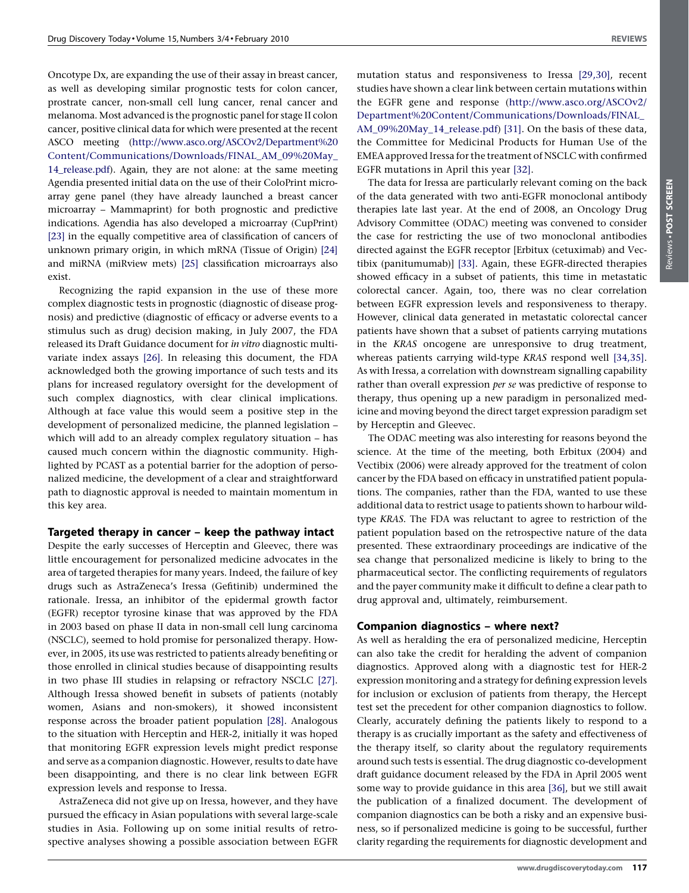Oncotype Dx, are expanding the use of their assay in breast cancer, as well as developing similar prognostic tests for colon cancer, prostrate cancer, non-small cell lung cancer, renal cancer and melanoma. Most advanced is the prognostic panel for stage II colon cancer, positive clinical data for which were presented at the recent ASCO meeting ([http://www.asco.org/ASCOv2/Department%20](mailto:stewart.a.bates@gsk.com) [Content/Communications/Downloads/FINAL\\_AM\\_09%20May\\_](mailto:stewart.a.bates@gsk.com) [14\\_release.pdf\)](mailto:stewart.a.bates@gsk.com). Again, they are not alone: at the same meeting Agendia presented initial data on the use of their ColoPrint microarray gene panel (they have already launched a breast cancer microarray – Mammaprint) for both prognostic and predictive indications. Agendia has also developed a microarray (CupPrint) [\[23\]](#page-4-0) in the equally competitive area of classification of cancers of unknown primary origin, in which mRNA (Tissue of Origin) [\[24\]](#page-4-0) and miRNA (miRview mets) [\[25\]](#page-4-0) classification microarrays also exist.

Recognizing the rapid expansion in the use of these more complex diagnostic tests in prognostic (diagnostic of disease prognosis) and predictive (diagnostic of efficacy or adverse events to a stimulus such as drug) decision making, in July 2007, the FDA released its Draft Guidance document for in vitro diagnostic multivariate index assays [\[26\].](#page-4-0) In releasing this document, the FDA acknowledged both the growing importance of such tests and its plans for increased regulatory oversight for the development of such complex diagnostics, with clear clinical implications. Although at face value this would seem a positive step in the development of personalized medicine, the planned legislation – which will add to an already complex regulatory situation – has caused much concern within the diagnostic community. Highlighted by PCAST as a potential barrier for the adoption of personalized medicine, the development of a clear and straightforward path to diagnostic approval is needed to maintain momentum in this key area.

## Targeted therapy in cancer – keep the pathway intact

Despite the early successes of Herceptin and Gleevec, there was little encouragement for personalized medicine advocates in the area of targeted therapies for many years. Indeed, the failure of key drugs such as AstraZeneca's Iressa (Gefitinib) undermined the rationale. Iressa, an inhibitor of the epidermal growth factor (EGFR) receptor tyrosine kinase that was approved by the FDA in 2003 based on phase II data in non-small cell lung carcinoma (NSCLC), seemed to hold promise for personalized therapy. However, in 2005, its use was restricted to patients already benefiting or those enrolled in clinical studies because of disappointing results in two phase III studies in relapsing or refractory NSCLC [\[27\].](#page-4-0) Although Iressa showed benefit in subsets of patients (notably women, Asians and non-smokers), it showed inconsistent response across the broader patient population [\[28\].](#page-4-0) Analogous to the situation with Herceptin and HER-2, initially it was hoped that monitoring EGFR expression levels might predict response and serve as a companion diagnostic. However, results to date have been disappointing, and there is no clear link between EGFR expression levels and response to Iressa.

AstraZeneca did not give up on Iressa, however, and they have pursued the efficacy in Asian populations with several large-scale studies in Asia. Following up on some initial results of retrospective analyses showing a possible association between EGFR mutation status and responsiveness to Iressa [\[29,30\],](#page-4-0) recent studies have shown a clear link between certain mutations within the EGFR gene and response ([http://www.asco.org/ASCOv2/](http://www.asco.org/ASCOv2/Department%20Content/Communications/Downloads/FINAL_AM_09%20May_14_release.pdf) [Department%20Content/Communications/Downloads/FINAL\\_](http://www.asco.org/ASCOv2/Department%20Content/Communications/Downloads/FINAL_AM_09%20May_14_release.pdf) [AM\\_09%20May\\_14\\_release.pdf\)](http://www.asco.org/ASCOv2/Department%20Content/Communications/Downloads/FINAL_AM_09%20May_14_release.pdf) [\[31\].](#page-4-0) On the basis of these data, the Committee for Medicinal Products for Human Use of the EMEA approved Iressa for the treatment of NSCLC with confirmed EGFR mutations in April this year [\[32\]](#page-4-0).

The data for Iressa are particularly relevant coming on the back of the data generated with two anti-EGFR monoclonal antibody therapies late last year. At the end of 2008, an Oncology Drug Advisory Committee (ODAC) meeting was convened to consider the case for restricting the use of two monoclonal antibodies directed against the EGFR receptor [Erbitux (cetuximab) and Vectibix (panitumumab)] [\[33\].](#page-4-0) Again, these EGFR-directed therapies showed efficacy in a subset of patients, this time in metastatic colorectal cancer. Again, too, there was no clear correlation between EGFR expression levels and responsiveness to therapy. However, clinical data generated in metastatic colorectal cancer patients have shown that a subset of patients carrying mutations in the KRAS oncogene are unresponsive to drug treatment, whereas patients carrying wild-type KRAS respond well [\[34,35\].](#page-4-0) As with Iressa, a correlation with downstream signalling capability rather than overall expression per se was predictive of response to therapy, thus opening up a new paradigm in personalized medicine and moving beyond the direct target expression paradigm set by Herceptin and Gleevec.

The ODAC meeting was also interesting for reasons beyond the science. At the time of the meeting, both Erbitux (2004) and Vectibix (2006) were already approved for the treatment of colon cancer by the FDA based on efficacy in unstratified patient populations. The companies, rather than the FDA, wanted to use these additional data to restrict usage to patients shown to harbour wildtype KRAS. The FDA was reluctant to agree to restriction of the patient population based on the retrospective nature of the data presented. These extraordinary proceedings are indicative of the sea change that personalized medicine is likely to bring to the pharmaceutical sector. The conflicting requirements of regulators and the payer community make it difficult to define a clear path to drug approval and, ultimately, reimbursement.

### Companion diagnostics – where next?

As well as heralding the era of personalized medicine, Herceptin can also take the credit for heralding the advent of companion diagnostics. Approved along with a diagnostic test for HER-2 expression monitoring and a strategy for defining expression levels for inclusion or exclusion of patients from therapy, the Hercept test set the precedent for other companion diagnostics to follow. Clearly, accurately defining the patients likely to respond to a therapy is as crucially important as the safety and effectiveness of the therapy itself, so clarity about the regulatory requirements around such tests is essential. The drug diagnostic co-development draft guidance document released by the FDA in April 2005 went some way to provide guidance in this area [\[36\],](#page-4-0) but we still await the publication of a finalized document. The development of companion diagnostics can be both a risky and an expensive business, so if personalized medicine is going to be successful, further clarity regarding the requirements for diagnostic development and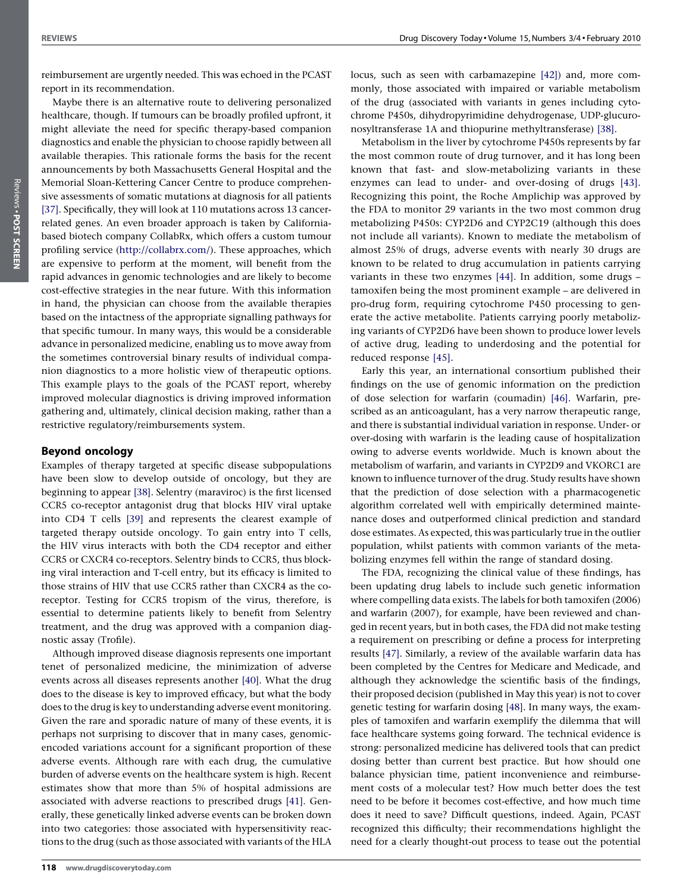reimbursement are urgently needed. This was echoed in the PCAST report in its recommendation.

Maybe there is an alternative route to delivering personalized healthcare, though. If tumours can be broadly profiled upfront, it might alleviate the need for specific therapy-based companion diagnostics and enable the physician to choose rapidly between all available therapies. This rationale forms the basis for the recent announcements by both Massachusetts General Hospital and the Memorial Sloan-Kettering Cancer Centre to produce comprehensive assessments of somatic mutations at diagnosis for all patients [\[37\]](#page-4-0). Specifically, they will look at 110 mutations across 13 cancerrelated genes. An even broader approach is taken by Californiabased biotech company CollabRx, which offers a custom tumour profiling service [\(http://collabrx.com/\)](http://collabrx.com/). These approaches, which are expensive to perform at the moment, will benefit from the rapid advances in genomic technologies and are likely to become cost-effective strategies in the near future. With this information in hand, the physician can choose from the available therapies based on the intactness of the appropriate signalling pathways for that specific tumour. In many ways, this would be a considerable advance in personalized medicine, enabling us to move away from the sometimes controversial binary results of individual companion diagnostics to a more holistic view of therapeutic options. This example plays to the goals of the PCAST report, whereby improved molecular diagnostics is driving improved information gathering and, ultimately, clinical decision making, rather than a restrictive regulatory/reimbursements system.

#### Beyond oncology

Examples of therapy targeted at specific disease subpopulations have been slow to develop outside of oncology, but they are beginning to appear [\[38\]](#page-4-0). Selentry (maraviroc) is the first licensed CCR5 co-receptor antagonist drug that blocks HIV viral uptake into CD4 T cells [\[39\]](#page-4-0) and represents the clearest example of targeted therapy outside oncology. To gain entry into T cells, the HIV virus interacts with both the CD4 receptor and either CCR5 or CXCR4 co-receptors. Selentry binds to CCR5, thus blocking viral interaction and T-cell entry, but its efficacy is limited to those strains of HIV that use CCR5 rather than CXCR4 as the coreceptor. Testing for CCR5 tropism of the virus, therefore, is essential to determine patients likely to benefit from Selentry treatment, and the drug was approved with a companion diagnostic assay (Trofile).

Although improved disease diagnosis represents one important tenet of personalized medicine, the minimization of adverse events across all diseases represents another [\[40\]](#page-4-0). What the drug does to the disease is key to improved efficacy, but what the body does to the drug is key to understanding adverse event monitoring. Given the rare and sporadic nature of many of these events, it is perhaps not surprising to discover that in many cases, genomicencoded variations account for a significant proportion of these adverse events. Although rare with each drug, the cumulative burden of adverse events on the healthcare system is high. Recent estimates show that more than 5% of hospital admissions are associated with adverse reactions to prescribed drugs [\[41\].](#page-4-0) Generally, these genetically linked adverse events can be broken down into two categories: those associated with hypersensitivity reactions to the drug (such as those associated with variants of the HLA

locus, such as seen with carbamazepine [\[42\]](#page-4-0)) and, more commonly, those associated with impaired or variable metabolism of the drug (associated with variants in genes including cytochrome P450s, dihydropyrimidine dehydrogenase, UDP-glucuronosyltransferase 1A and thiopurine methyltransferase) [\[38\]](#page-4-0).

Metabolism in the liver by cytochrome P450s represents by far the most common route of drug turnover, and it has long been known that fast- and slow-metabolizing variants in these enzymes can lead to under- and over-dosing of drugs [\[43\]](#page-4-0). Recognizing this point, the Roche Amplichip was approved by the FDA to monitor 29 variants in the two most common drug metabolizing P450s: CYP2D6 and CYP2C19 (although this does not include all variants). Known to mediate the metabolism of almost 25% of drugs, adverse events with nearly 30 drugs are known to be related to drug accumulation in patients carrying variants in these two enzymes [\[44\].](#page-4-0) In addition, some drugs – tamoxifen being the most prominent example – are delivered in pro-drug form, requiring cytochrome P450 processing to generate the active metabolite. Patients carrying poorly metabolizing variants of CYP2D6 have been shown to produce lower levels of active drug, leading to underdosing and the potential for reduced response [\[45\].](#page-4-0)

Early this year, an international consortium published their findings on the use of genomic information on the prediction of dose selection for warfarin (coumadin) [\[46\]](#page-4-0). Warfarin, prescribed as an anticoagulant, has a very narrow therapeutic range, and there is substantial individual variation in response. Under- or over-dosing with warfarin is the leading cause of hospitalization owing to adverse events worldwide. Much is known about the metabolism of warfarin, and variants in CYP2D9 and VKORC1 are known to influence turnover of the drug. Study results have shown that the prediction of dose selection with a pharmacogenetic algorithm correlated well with empirically determined maintenance doses and outperformed clinical prediction and standard dose estimates. As expected, this was particularly true in the outlier population, whilst patients with common variants of the metabolizing enzymes fell within the range of standard dosing.

The FDA, recognizing the clinical value of these findings, has been updating drug labels to include such genetic information where compelling data exists. The labels for both tamoxifen (2006) and warfarin (2007), for example, have been reviewed and changed in recent years, but in both cases, the FDA did not make testing a requirement on prescribing or define a process for interpreting results [\[47\]](#page-4-0). Similarly, a review of the available warfarin data has been completed by the Centres for Medicare and Medicade, and although they acknowledge the scientific basis of the findings, their proposed decision (published in May this year) is not to cover genetic testing for warfarin dosing [\[48\]](#page-5-0). In many ways, the examples of tamoxifen and warfarin exemplify the dilemma that will face healthcare systems going forward. The technical evidence is strong: personalized medicine has delivered tools that can predict dosing better than current best practice. But how should one balance physician time, patient inconvenience and reimbursement costs of a molecular test? How much better does the test need to be before it becomes cost-effective, and how much time does it need to save? Difficult questions, indeed. Again, PCAST recognized this difficulty; their recommendations highlight the need for a clearly thought-out process to tease out the potential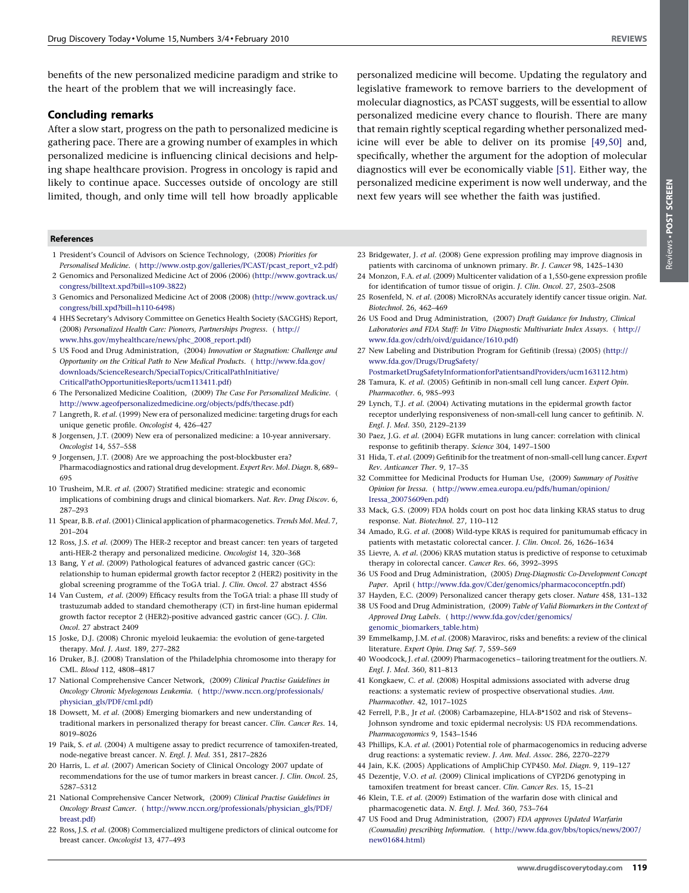<span id="page-4-0"></span>benefits of the new personalized medicine paradigm and strike to the heart of the problem that we will increasingly face.

### Concluding remarks

After a slow start, progress on the path to personalized medicine is gathering pace. There are a growing number of examples in which personalized medicine is influencing clinical decisions and helping shape healthcare provision. Progress in oncology is rapid and likely to continue apace. Successes outside of oncology are still limited, though, and only time will tell how broadly applicable

#### References

- 1 President's Council of Advisors on Science Technology, (2008) Priorities for
- Personalised Medicine. ( [http://www.ostp.gov/galleries/PCAST/pcast\\_report\\_v2.pdf](http://www.ostp.gov/galleries/PCAST/pcast_report_v2.pdf)) 2 Genomics and Personalized Medicine Act of 2006 (2006) ([http://www.govtrack.us/](http://www.govtrack.us/congress/billtext.xpd?bill=s109-3822) [congress/billtext.xpd?bill=s109-3822](http://www.govtrack.us/congress/billtext.xpd?bill=s109-3822))
- 3 Genomics and Personalized Medicine Act of 2008 (2008) ([http://www.govtrack.us/](http://www.govtrack.us/congress/bill.xpd?bill=h110-6498) [congress/bill.xpd?bill=h110-6498](http://www.govtrack.us/congress/bill.xpd?bill=h110-6498))
- 4 HHS Secretary's Advisory Committee on Genetics Health Society (SACGHS) Report, (2008) Personalized Health Care: Pioneers, Partnerships Progress. ( [http://](http://www.hhs.gov/myhealthcare/news/phc_2008_report.pdf) [www.hhs.gov/myhealthcare/news/phc\\_2008\\_report.pdf](http://www.hhs.gov/myhealthcare/news/phc_2008_report.pdf))
- 5 US Food and Drug Administration, (2004) Innovation or Stagnation: Challenge and Opportunity on the Critical Path to New Medical Products. ( [http://www.fda.gov/](http://www.fda.gov/downloads/ScienceResearch/SpecialTopics/CriticalPathInitiative/CriticalPathOpportunitiesReports/ucm113411.pdf) [downloads/ScienceResearch/SpecialTopics/CriticalPathInitiative/](http://www.fda.gov/downloads/ScienceResearch/SpecialTopics/CriticalPathInitiative/CriticalPathOpportunitiesReports/ucm113411.pdf) [CriticalPathOpportunitiesReports/ucm113411.pdf\)](http://www.fda.gov/downloads/ScienceResearch/SpecialTopics/CriticalPathInitiative/CriticalPathOpportunitiesReports/ucm113411.pdf)
- 6 The Personalized Medicine Coalition, (2009) The Case For Personalized Medicine. ( <http://www.ageofpersonalizedmedicine.org/objects/pdfs/thecase.pdf>)
- 7 Langreth, R. et al. (1999) New era of personalized medicine: targeting drugs for each unique genetic profile. Oncologist 4, 426–427
- 8 Jorgensen, J.T. (2009) New era of personalized medicine: a 10-year anniversary. Oncologist 14, 557–558
- 9 Jorgensen, J.T. (2008) Are we approaching the post-blockbuster era? Pharmacodiagnostics and rational drug development. Expert Rev. Mol. Diagn. 8, 689– 695
- 10 Trusheim, M.R. et al. (2007) Stratified medicine: strategic and economic implications of combining drugs and clinical biomarkers. Nat. Rev. Drug Discov. 6, 287–293
- 11 Spear, B.B. et al. (2001) Clinical application of pharmacogenetics. Trends Mol. Med. 7, 201–204
- 12 Ross, J.S. et al. (2009) The HER-2 receptor and breast cancer: ten years of targeted anti-HER-2 therapy and personalized medicine. Oncologist 14, 320–368
- 13 Bang, Y et al. (2009) Pathological features of advanced gastric cancer (GC): relationship to human epidermal growth factor receptor 2 (HER2) positivity in the global screening programme of the ToGA trial. J. Clin. Oncol. 27 abstract 4556
- 14 Van Custem, et al. (2009) Efficacy results from the ToGA trial: a phase III study of trastuzumab added to standard chemotherapy (CT) in first-line human epidermal growth factor receptor 2 (HER2)-positive advanced gastric cancer (GC). J. Clin. Oncol. 27 abstract 2409
- 15 Joske, D.J. (2008) Chronic myeloid leukaemia: the evolution of gene-targeted therapy. Med. J. Aust. 189, 277–282
- 16 Druker, B.J. (2008) Translation of the Philadelphia chromosome into therapy for CML. Blood 112, 4808–4817
- 17 National Comprehensive Cancer Network, (2009) Clinical Practise Guidelines in Oncology Chronic Myelogenous Leukemia. ( [http://www.nccn.org/professionals/](http://www.nccn.org/professionals/physician_gls/PDF/cml.pdf) [physician\\_gls/PDF/cml.pdf\)](http://www.nccn.org/professionals/physician_gls/PDF/cml.pdf)
- 18 Dowsett, M. et al. (2008) Emerging biomarkers and new understanding of traditional markers in personalized therapy for breast cancer. Clin. Cancer Res. 14, 8019–8026
- 19 Paik, S. et al. (2004) A multigene assay to predict recurrence of tamoxifen-treated, node-negative breast cancer. N. Engl. J. Med. 351, 2817–2826
- 20 Harris, L. et al. (2007) American Society of Clinical Oncology 2007 update of recommendations for the use of tumor markers in breast cancer. J. Clin. Oncol. 25, 5287–5312
- 21 National Comprehensive Cancer Network, (2009) Clinical Practise Guidelines in Oncology Breast Cancer. ( [http://www.nccn.org/professionals/physician\\_gls/PDF/](http://www.nccn.org/professionals/physician_gls/PDF/breast.pdf) [breast.pdf\)](http://www.nccn.org/professionals/physician_gls/PDF/breast.pdf)
- 22 Ross, J.S. et al. (2008) Commercialized multigene predictors of clinical outcome for breast cancer. Oncologist 13, 477–493

personalized medicine will become. Updating the regulatory and legislative framework to remove barriers to the development of molecular diagnostics, as PCAST suggests, will be essential to allow personalized medicine every chance to flourish. There are many that remain rightly sceptical regarding whether personalized medicine will ever be able to deliver on its promise [\[49,50\]](#page-5-0) and, specifically, whether the argument for the adoption of molecular diagnostics will ever be economically viable [\[51\].](#page-5-0) Either way, the personalized medicine experiment is now well underway, and the next few years will see whether the faith was justified.

- 23 Bridgewater, J. et al. (2008) Gene expression profiling may improve diagnosis in patients with carcinoma of unknown primary. Br. J. Cancer 98, 1425–1430
- 24 Monzon, F.A. et al. (2009) Multicenter validation of a 1,550-gene expression profile for identification of tumor tissue of origin. J. Clin. Oncol. 27, 2503–2508
- 25 Rosenfeld, N. et al. (2008) MicroRNAs accurately identify cancer tissue origin. Nat. Biotechnol. 26, 462–469
- 26 US Food and Drug Administration, (2007) Draft Guidance for Industry, Clinical Laboratories and FDA Staff: In Vitro Diagnostic Multivariate Index Assays. ( [http://](http://www.fda.gov/cdrh/oivd/guidance/1610.pdf) [www.fda.gov/cdrh/oivd/guidance/1610.pdf\)](http://www.fda.gov/cdrh/oivd/guidance/1610.pdf)
- 27 New Labeling and Distribution Program for Gefitinib (Iressa) (2005) ([http://](http://www.fda.gov/Drugs/DrugSafety/PostmarketDrugSafetyInformationforPatientsandProviders/ucm163112.htm) [www.fda.gov/Drugs/DrugSafety/](http://www.fda.gov/Drugs/DrugSafety/PostmarketDrugSafetyInformationforPatientsandProviders/ucm163112.htm)

[PostmarketDrugSafetyInformationforPatientsandProviders/ucm163112.htm](http://www.fda.gov/Drugs/DrugSafety/PostmarketDrugSafetyInformationforPatientsandProviders/ucm163112.htm)) 28 Tamura, K. et al. (2005) Gefitinib in non-small cell lung cancer. Expert Opin. Pharmacother. 6, 985–993

- 29 Lynch, T.J. et al. (2004) Activating mutations in the epidermal growth factor receptor underlying responsiveness of non-small-cell lung cancer to gefitinib. N. Engl. J. Med. 350, 2129–2139
- 30 Paez, J.G. et al. (2004) EGFR mutations in lung cancer: correlation with clinical response to gefitinib therapy. Science 304, 1497–1500
- 31 Hida, T. et al. (2009) Gefitinib for the treatment of non-small-cell lung cancer. Expert Rev. Anticancer Ther. 9, 17–35
- 32 Committee for Medicinal Products for Human Use, (2009) Summary of Positive Opinion for Iressa. ( [http://www.emea.europa.eu/pdfs/human/opinion/](http://www.emea.europa.eu/pdfs/human/opinion/Iressa_20075609en.pdf) [Iressa\\_20075609en.pdf\)](http://www.emea.europa.eu/pdfs/human/opinion/Iressa_20075609en.pdf)
- 33 Mack, G.S. (2009) FDA holds court on post hoc data linking KRAS status to drug response. Nat. Biotechnol. 27, 110–112
- 34 Amado, R.G. et al. (2008) Wild-type KRAS is required for panitumumab efficacy in patients with metastatic colorectal cancer. J. Clin. Oncol. 26, 1626–1634
- 35 Lievre, A. et al. (2006) KRAS mutation status is predictive of response to cetuximab therapy in colorectal cancer. Cancer Res. 66, 3992–3995
- 36 US Food and Drug Administration, (2005) Drug-Diagnostic Co-Development Concept Paper. April ( [http://www.fda.gov/Cder/genomics/pharmacoconceptfn.pdf\)](http://www.fda.gov/Cder/genomics/pharmacoconceptfn.pdf)
- 37 Hayden, E.C. (2009) Personalized cancer therapy gets closer. Nature 458, 131–132
- 38 US Food and Drug Administration, (2009) Table of Valid Biomarkers in the Context of Approved Drug Labels. ( [http://www.fda.gov/cder/genomics/](http://www.fda.gov/cder/genomics/genomic_biomarkers_table.htm) [genomic\\_biomarkers\\_table.htm](http://www.fda.gov/cder/genomics/genomic_biomarkers_table.htm))
- 39 Emmelkamp, J.M. et al. (2008) Maraviroc, risks and benefits: a review of the clinical literature. Expert Opin. Drug Saf. 7, 559–569
- 40 Woodcock, J. et al. (2009) Pharmacogenetics tailoring treatment for the outliers. N. Engl. J. Med. 360, 811–813
- 41 Kongkaew, C. et al. (2008) Hospital admissions associated with adverse drug reactions: a systematic review of prospective observational studies. Ann. Pharmacother. 42, 1017–1025
- 42 Ferrell, P.B., Jr et al. (2008) Carbamazepine, HLA-B\*1502 and risk of Stevens– Johnson syndrome and toxic epidermal necrolysis: US FDA recommendations. Pharmacogenomics 9, 1543–1546
- 43 Phillips, K.A. et al. (2001) Potential role of pharmacogenomics in reducing adverse drug reactions: a systematic review. J. Am. Med. Assoc. 286, 2270–2279
- 44 Jain, K.K. (2005) Applications of AmpliChip CYP450. Mol. Diagn. 9, 119–127
- 45 Dezentje, V.O. et al. (2009) Clinical implications of CYP2D6 genotyping in tamoxifen treatment for breast cancer. Clin. Cancer Res. 15, 15–21
- 46 Klein, T.E. et al. (2009) Estimation of the warfarin dose with clinical and pharmacogenetic data. N. Engl. J. Med. 360, 753–764
- 47 US Food and Drug Administration, (2007) FDA approves Updated Warfarin (Coumadin) prescribing Information. ( [http://www.fda.gov/bbs/topics/news/2007/](http://www.fda.gov/bbs/topics/news/2007/new01684.html) [new01684.html\)](http://www.fda.gov/bbs/topics/news/2007/new01684.html)